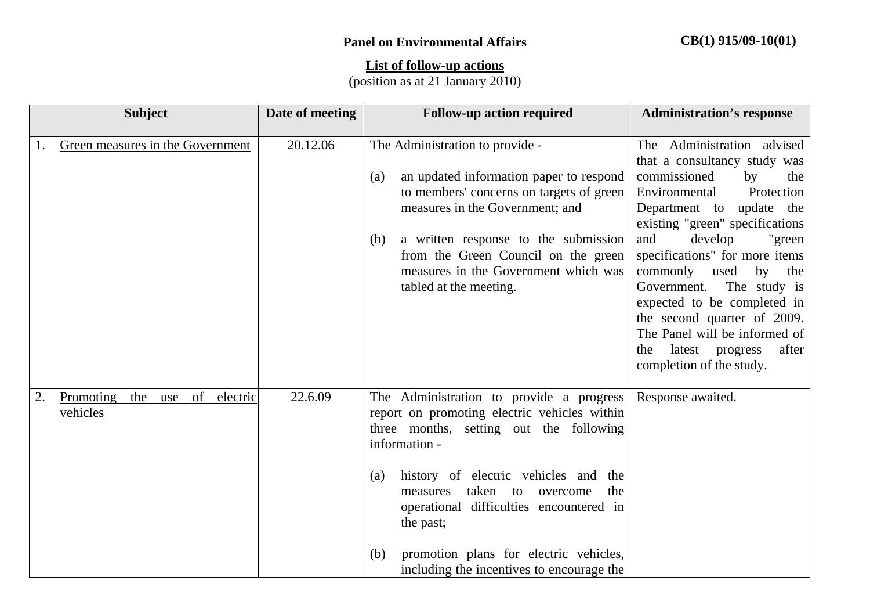## **List of follow-up actions**

(position as at 21 January 2010)

|    | <b>Subject</b>                                        | Date of meeting | <b>Follow-up action required</b>                                                                                                                                                                                                                                                                                                                                                                     | <b>Administration's response</b>                                                                                                                                                                                                                                                                                                                                                                                                                                                   |
|----|-------------------------------------------------------|-----------------|------------------------------------------------------------------------------------------------------------------------------------------------------------------------------------------------------------------------------------------------------------------------------------------------------------------------------------------------------------------------------------------------------|------------------------------------------------------------------------------------------------------------------------------------------------------------------------------------------------------------------------------------------------------------------------------------------------------------------------------------------------------------------------------------------------------------------------------------------------------------------------------------|
| 1. | Green measures in the Government                      | 20.12.06        | The Administration to provide -<br>an updated information paper to respond<br>(a)<br>to members' concerns on targets of green<br>measures in the Government; and<br>a written response to the submission<br>(b)<br>from the Green Council on the green<br>measures in the Government which was<br>tabled at the meeting.                                                                             | The Administration advised<br>that a consultancy study was<br>commissioned<br>by<br>the<br>Protection<br>Environmental<br>Department to update the<br>existing "green" specifications<br>develop<br>and<br>"green"<br>specifications" for more items<br>commonly<br>used<br>by<br>the<br>Government.<br>The study is<br>expected to be completed in<br>the second quarter of 2009.<br>The Panel will be informed of<br>latest progress<br>after<br>the<br>completion of the study. |
| 2. | Promoting<br>the<br>of<br>electric<br>use<br>vehicles | 22.6.09         | The Administration to provide a progress<br>report on promoting electric vehicles within<br>three months, setting out the following<br>information -<br>history of electric vehicles and the<br>(a)<br>taken to<br>the<br>measures<br>overcome<br>operational difficulties encountered in<br>the past;<br>promotion plans for electric vehicles,<br>(b)<br>including the incentives to encourage the | Response awaited.                                                                                                                                                                                                                                                                                                                                                                                                                                                                  |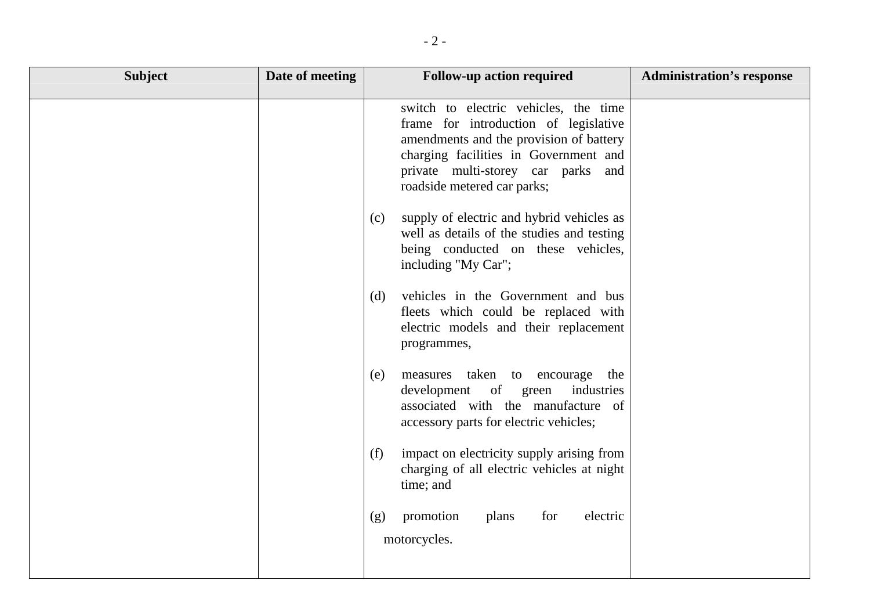| <b>Subject</b> | Date of meeting | <b>Follow-up action required</b>                                                                                                                                                                                                        | <b>Administration's response</b> |
|----------------|-----------------|-----------------------------------------------------------------------------------------------------------------------------------------------------------------------------------------------------------------------------------------|----------------------------------|
|                |                 | switch to electric vehicles, the time<br>frame for introduction of legislative<br>amendments and the provision of battery<br>charging facilities in Government and<br>private multi-storey car parks and<br>roadside metered car parks; |                                  |
|                |                 | supply of electric and hybrid vehicles as<br>(c)<br>well as details of the studies and testing<br>being conducted on these vehicles,<br>including "My Car";                                                                             |                                  |
|                |                 | vehicles in the Government and bus<br>(d)<br>fleets which could be replaced with<br>electric models and their replacement<br>programmes,                                                                                                |                                  |
|                |                 | measures taken to encourage<br>the<br>(e)<br>development of green<br>industries<br>associated with the manufacture of<br>accessory parts for electric vehicles;                                                                         |                                  |
|                |                 | impact on electricity supply arising from<br>(f)<br>charging of all electric vehicles at night<br>time; and                                                                                                                             |                                  |
|                |                 | electric<br>promotion<br>plans<br>for<br>(g)<br>motorcycles.                                                                                                                                                                            |                                  |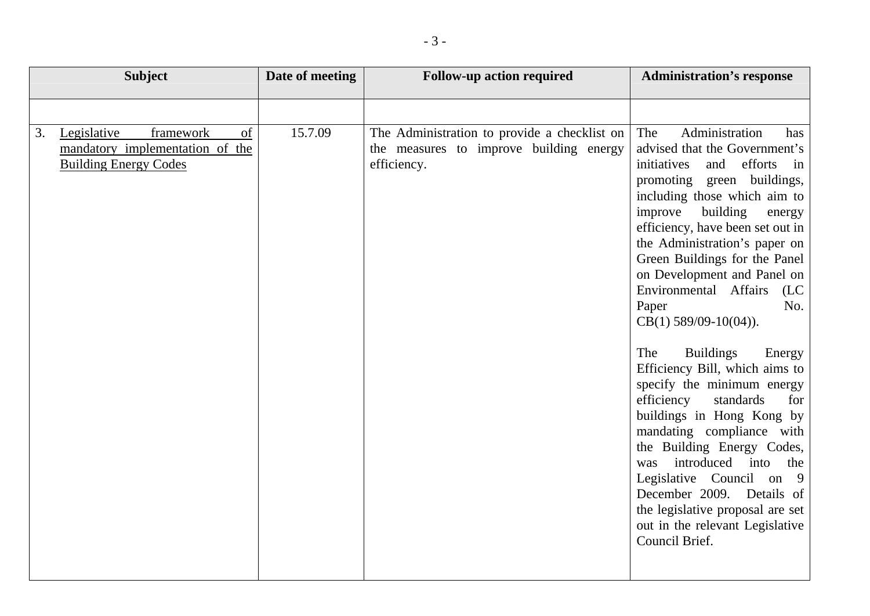| <b>Subject</b>                                                                                          | Date of meeting | <b>Follow-up action required</b>                                                                       | <b>Administration's response</b>                                                                                                                                                                                                                                                                                                                                                                                                                                                                                                                                                                                                                                                                                                                                                                                                       |
|---------------------------------------------------------------------------------------------------------|-----------------|--------------------------------------------------------------------------------------------------------|----------------------------------------------------------------------------------------------------------------------------------------------------------------------------------------------------------------------------------------------------------------------------------------------------------------------------------------------------------------------------------------------------------------------------------------------------------------------------------------------------------------------------------------------------------------------------------------------------------------------------------------------------------------------------------------------------------------------------------------------------------------------------------------------------------------------------------------|
|                                                                                                         |                 |                                                                                                        |                                                                                                                                                                                                                                                                                                                                                                                                                                                                                                                                                                                                                                                                                                                                                                                                                                        |
| framework<br>of<br>Legislative<br>3.<br>mandatory implementation of the<br><b>Building Energy Codes</b> | 15.7.09         | The Administration to provide a checklist on<br>the measures to improve building energy<br>efficiency. | Administration<br>The<br>has<br>advised that the Government's<br>initiatives<br>and<br>efforts<br>in<br>promoting green buildings,<br>including those which aim to<br>improve<br>building<br>energy<br>efficiency, have been set out in<br>the Administration's paper on<br>Green Buildings for the Panel<br>on Development and Panel on<br>Environmental Affairs<br>(LC)<br>No.<br>Paper<br>$CB(1)$ 589/09-10(04)).<br><b>Buildings</b><br>The<br>Energy<br>Efficiency Bill, which aims to<br>specify the minimum energy<br>efficiency<br>standards<br>for<br>buildings in Hong Kong by<br>mandating compliance with<br>the Building Energy Codes,<br>introduced into<br>the<br>was<br>Legislative Council on 9<br>December 2009. Details of<br>the legislative proposal are set<br>out in the relevant Legislative<br>Council Brief. |